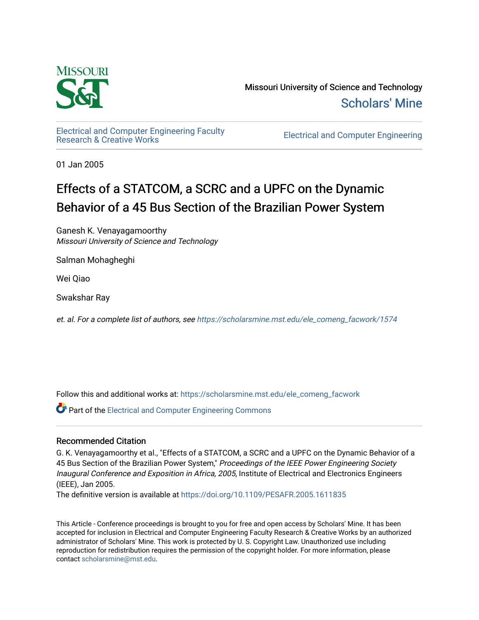

Missouri University of Science and Technology [Scholars' Mine](https://scholarsmine.mst.edu/) 

[Electrical and Computer Engineering Faculty](https://scholarsmine.mst.edu/ele_comeng_facwork)

**Electrical and Computer Engineering** 

01 Jan 2005

# Effects of a STATCOM, a SCRC and a UPFC on the Dynamic Behavior of a 45 Bus Section of the Brazilian Power System

Ganesh K. Venayagamoorthy Missouri University of Science and Technology

Salman Mohagheghi

Wei Qiao

Swakshar Ray

et. al. For a complete list of authors, see [https://scholarsmine.mst.edu/ele\\_comeng\\_facwork/1574](https://scholarsmine.mst.edu/ele_comeng_facwork/1574) 

Follow this and additional works at: [https://scholarsmine.mst.edu/ele\\_comeng\\_facwork](https://scholarsmine.mst.edu/ele_comeng_facwork?utm_source=scholarsmine.mst.edu%2Fele_comeng_facwork%2F1574&utm_medium=PDF&utm_campaign=PDFCoverPages)

**P** Part of the Electrical and Computer Engineering Commons

## Recommended Citation

G. K. Venayagamoorthy et al., "Effects of a STATCOM, a SCRC and a UPFC on the Dynamic Behavior of a 45 Bus Section of the Brazilian Power System," Proceedings of the IEEE Power Engineering Society Inaugural Conference and Exposition in Africa, 2005, Institute of Electrical and Electronics Engineers (IEEE), Jan 2005.

The definitive version is available at <https://doi.org/10.1109/PESAFR.2005.1611835>

This Article - Conference proceedings is brought to you for free and open access by Scholars' Mine. It has been accepted for inclusion in Electrical and Computer Engineering Faculty Research & Creative Works by an authorized administrator of Scholars' Mine. This work is protected by U. S. Copyright Law. Unauthorized use including reproduction for redistribution requires the permission of the copyright holder. For more information, please contact [scholarsmine@mst.edu](mailto:scholarsmine@mst.edu).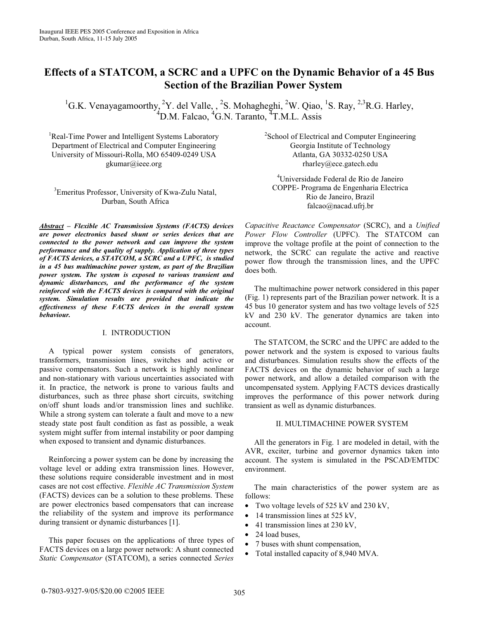# **Effects of a STATCOM, a SCRC and a UPFC on the Dynamic Behavior of a 45 Bus Section of the Brazilian Power System**

<sup>1</sup>G.K. Venayagamoorthy, <sup>2</sup>Y. del Valle, , <sup>2</sup>S. Mohagheghi, <sup>2</sup>W. Qiao, <sup>1</sup>S. Ray, <sup>2,3</sup>R.G. Harley, <sup>4</sup>D.M. Falcao, <sup>4</sup>G.N. Taranto, <sup>4</sup>T.M.L. Assis

<sup>1</sup>Real-Time Power and Intelligent Systems Laboratory Department of Electrical and Computer Engineering University of Missouri-Rolla, MO 65409-0249 USA gkumar@ieee.org

<sup>3</sup> Emeritus Professor, University of Kwa-Zulu Natal, Durban, South Africa

*Abstract – Flexible AC Transmission Systems (FACTS) devices are power electronics based shunt or series devices that are connected to the power network and can improve the system performance and the quality of supply. Application of three types of FACTS devices, a STATCOM, a SCRC and a UPFC, is studied in a 45 bus multimachine power system, as part of the Brazilian power system. The system is exposed to various transient and dynamic disturbances, and the performance of the system reinforced with the FACTS devices is compared with the original system. Simulation results are provided that indicate the effectiveness of these FACTS devices in the overall system behaviour.* 

#### I. INTRODUCTION

A typical power system consists of generators, transformers, transmission lines, switches and active or passive compensators. Such a network is highly nonlinear and non-stationary with various uncertainties associated with it. In practice, the network is prone to various faults and disturbances, such as three phase short circuits, switching on/off shunt loads and/or transmission lines and suchlike. While a strong system can tolerate a fault and move to a new steady state post fault condition as fast as possible, a weak system might suffer from internal instability or poor damping when exposed to transient and dynamic disturbances.

Reinforcing a power system can be done by increasing the voltage level or adding extra transmission lines. However, these solutions require considerable investment and in most cases are not cost effective. *Flexible AC Transmission System* (FACTS) devices can be a solution to these problems. These are power electronics based compensators that can increase the reliability of the system and improve its performance during transient or dynamic disturbances [1].

This paper focuses on the applications of three types of FACTS devices on a large power network: A shunt connected *Static Compensator* (STATCOM), a series connected *Series* 

<sup>2</sup>School of Electrical and Computer Engineering Georgia Institute of Technology Atlanta, GA 30332-0250 USA rharley@ece.gatech.edu

4 Universidade Federal de Rio de Janeiro COPPE- Programa de Engenharia Electrica Rio de Janeiro, Brazil falcao@nacad.ufrj.br

*Capacitive Reactance Compensator* (SCRC), and a *Unified Power Flow Controller* (UPFC). The STATCOM can improve the voltage profile at the point of connection to the network, the SCRC can regulate the active and reactive power flow through the transmission lines, and the UPFC does both.

The multimachine power network considered in this paper (Fig. 1) represents part of the Brazilian power network. It is a 45 bus 10 generator system and has two voltage levels of 525 kV and 230 kV. The generator dynamics are taken into account.

The STATCOM, the SCRC and the UPFC are added to the power network and the system is exposed to various faults and disturbances. Simulation results show the effects of the FACTS devices on the dynamic behavior of such a large power network, and allow a detailed comparison with the uncompensated system. Applying FACTS devices drastically improves the performance of this power network during transient as well as dynamic disturbances.

#### II. MULTIMACHINE POWER SYSTEM

All the generators in Fig. 1 are modeled in detail, with the AVR, exciter, turbine and governor dynamics taken into account. The system is simulated in the PSCAD/EMTDC environment.

The main characteristics of the power system are as follows:

- Two voltage levels of 525 kV and 230 kV,
- 14 transmission lines at 525 kV,
- 41 transmission lines at 230 kV,
- 24 load buses,
- 7 buses with shunt compensation,
- Total installed capacity of 8,940 MVA.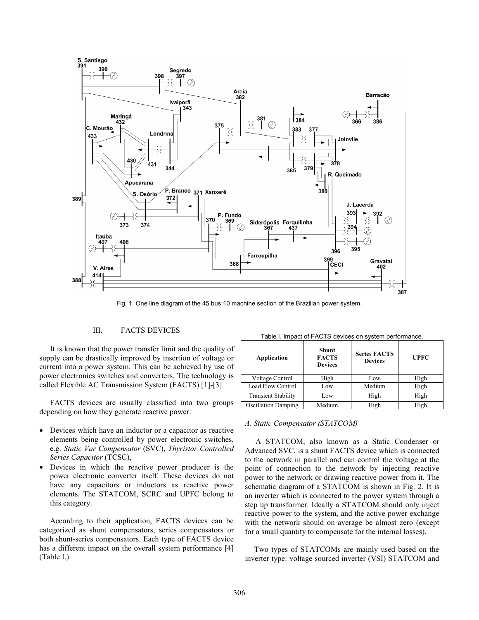

Fig. 1. One line diagram of the 45 bus 10 machine section of the Brazilian power system.

#### III. FACTS DEVICES

It is known that the power transfer limit and the quality of supply can be drastically improved by insertion of voltage or current into a power system. This can be achieved by use of power electronics switches and converters. The technology is called Flexible AC Transmission System (FACTS) [1]-[3].

FACTS devices are usually classified into two groups depending on how they generate reactive power:

- Devices which have an inductor or a capacitor as reactive elements being controlled by power electronic switches, e.g. *Static Var Compensator* (SVC), *Thyristor Controlled Series Capacitor* (TCSC),
- Devices in which the reactive power producer is the power electronic converter itself. These devices do not have any capacitors or inductors as reactive power elements. The STATCOM, SCRC and UPFC belong to this category.

According to their application, FACTS devices can be categorized as shunt compensators, series compensators or both shunt-series compensators. Each type of FACTS device has a different impact on the overall system performance [4] (Table I.).

| Application                | Shunt<br><b>FACTS</b><br><b>Devices</b> | <b>Series FACTS</b><br><b>Devices</b> | <b>UPFC</b> |
|----------------------------|-----------------------------------------|---------------------------------------|-------------|
| Voltage Control            | High                                    | Low                                   | High        |
| Load Flow Control          | Low                                     | Medium                                | High        |
| <b>Transient Stability</b> | Low                                     | High                                  | High        |
| <b>Oscillation Damping</b> | Medium                                  | High                                  | High        |

#### Table I. Impact of FACTS devices on system performance.

#### *A. Static Compensator (STATCOM)*

A STATCOM, also known as a Static Condenser or Advanced SVC, is a shunt FACTS device which is connected to the network in parallel and can control the voltage at the point of connection to the network by injecting reactive power to the network or drawing reactive power from it. The schematic diagram of a STATCOM is shown in Fig. 2. It is an inverter which is connected to the power system through a step up transformer. Ideally a STATCOM should only inject reactive power to the system, and the active power exchange with the network should on average be almost zero (except for a small quantity to compensate for the internal losses).

Two types of STATCOMs are mainly used based on the inverter type: voltage sourced inverter (VSI) STATCOM and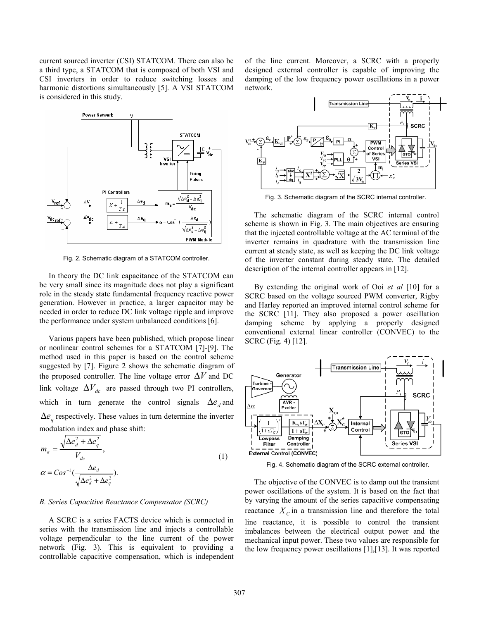current sourced inverter (CSI) STATCOM. There can also be a third type, a STATCOM that is composed of both VSI and CSI inverters in order to reduce switching losses and harmonic distortions simultaneously [5]. A VSI STATCOM is considered in this study.



Fig. 2. Schematic diagram of a STATCOM controller.

In theory the DC link capacitance of the STATCOM can be very small since its magnitude does not play a significant role in the steady state fundamental frequency reactive power generation. However in practice, a larger capacitor may be needed in order to reduce DC link voltage ripple and improve the performance under system unbalanced conditions [6].

Various papers have been published, which propose linear or nonlinear control schemes for a STATCOM [7]-[9]. The method used in this paper is based on the control scheme suggested by [7]. Figure 2 shows the schematic diagram of the proposed controller. The line voltage error ∆*V* and DC link voltage  $\Delta V_{dc}$  are passed through two PI controllers, which in turn generate the control signals  $\Delta e_d$  and  $\Delta e_a$  respectively. These values in turn determine the inverter modulation index and phase shift:

$$
m_a = \frac{\sqrt{\Delta e_d^2 + \Delta e_q^2}}{V_{dc}},
$$
  
\n
$$
\alpha = \cos^{-1}(\frac{\Delta e_d}{\sqrt{\Delta e_d^2 + \Delta e_q^2}}).
$$
\n(1)

#### *B. Series Capacitive Reactance Compensator (SCRC)*

A SCRC is a series FACTS device which is connected in series with the transmission line and injects a controllable voltage perpendicular to the line current of the power network (Fig. 3). This is equivalent to providing a controllable capacitive compensation, which is independent of the line current. Moreover, a SCRC with a properly designed external controller is capable of improving the damping of the low frequency power oscillations in a power network.



Fig. 3. Schematic diagram of the SCRC internal controller.

The schematic diagram of the SCRC internal control scheme is shown in Fig. 3. The main objectives are ensuring that the injected controllable voltage at the AC terminal of the inverter remains in quadrature with the transmission line current at steady state, as well as keeping the DC link voltage of the inverter constant during steady state. The detailed description of the internal controller appears in [12].

By extending the original work of Ooi *et al* [10] for a SCRC based on the voltage sourced PWM converter, Rigby and Harley reported an improved internal control scheme for the SCRC [11]. They also proposed a power oscillation damping scheme by applying a properly designed conventional external linear controller (CONVEC) to the SCRC (Fig. 4) [12].



Fig. 4. Schematic diagram of the SCRC external controller.

The objective of the CONVEC is to damp out the transient power oscillations of the system. It is based on the fact that by varying the amount of the series capacitive compensating reactance  $X_c$  in a transmission line and therefore the total line reactance, it is possible to control the transient imbalances between the electrical output power and the mechanical input power. These two values are responsible for the low frequency power oscillations [1],[13]. It was reported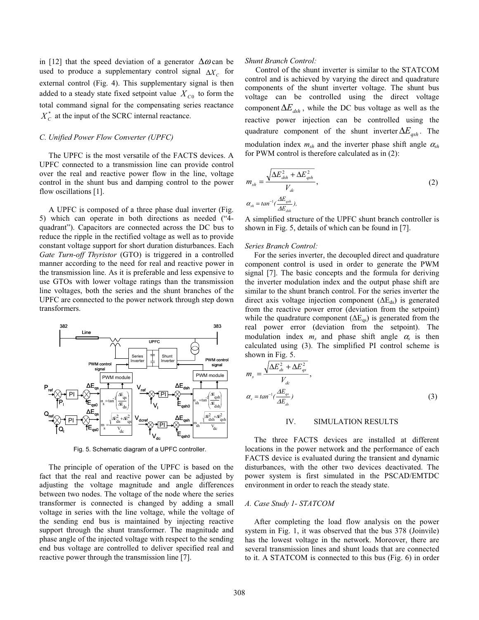in [12] that the speed deviation of a generator  $\Delta \omega$  can be used to produce a supplementary control signal Δ*X*<sub>*C*</sub> for external control (Fig. 4). This supplementary signal is then added to a steady state fixed setpoint value  $X_{C0}$  to form the total command signal for the compensating series reactance  $X_C^*$  at the input of the SCRC internal reactance.

#### *C. Unified Power Flow Converter (UPFC)*

The UPFC is the most versatile of the FACTS devices. A UPFC connected to a transmission line can provide control over the real and reactive power flow in the line, voltage control in the shunt bus and damping control to the power flow oscillations [1].

A UPFC is composed of a three phase dual inverter (Fig. 5) which can operate in both directions as needed ("4 quadrant"). Capacitors are connected across the DC bus to reduce the ripple in the rectified voltage as well as to provide constant voltage support for short duration disturbances. Each *Gate Turn-off Thyristor* (GTO) is triggered in a controlled manner according to the need for real and reactive power in the transmission line. As it is preferable and less expensive to use GTOs with lower voltage ratings than the transmission line voltages, both the series and the shunt branches of the UPFC are connected to the power network through step down transformers.



Fig. 5. Schematic diagram of a UPFC controller.

The principle of operation of the UPFC is based on the fact that the real and reactive power can be adjusted by adjusting the voltage magnitude and angle differences between two nodes. The voltage of the node where the series transformer is connected is changed by adding a small voltage in series with the line voltage, while the voltage of the sending end bus is maintained by injecting reactive support through the shunt transformer. The magnitude and phase angle of the injected voltage with respect to the sending end bus voltage are controlled to deliver specified real and reactive power through the transmission line [7].

#### *Shunt Branch Control:*

Control of the shunt inverter is similar to the STATCOM control and is achieved by varying the direct and quadrature components of the shunt inverter voltage. The shunt bus voltage can be controlled using the direct voltage component  $\Delta E_{dsh}$ , while the DC bus voltage as well as the reactive power injection can be controlled using the quadrature component of the shunt inverter  $\Delta E_{\text{ash}}$ . The modulation index  $m_{sh}$  and the inverter phase shift angle  $\alpha_{sh}$ for PWM control is therefore calculated as in (2):

$$
m_{sh} = \frac{\sqrt{\Delta E_{dsh}^2 + \Delta E_{qsh}^2}}{V_{dc}},
$$
  
\n
$$
\alpha_{sh} = \tan^{-1}(\frac{\Delta E_{qsh}}{\Delta E_{dh}}),
$$
\n(2)

A simplified structure of the UPFC shunt branch controller is shown in Fig. 5, details of which can be found in [7].

#### *Series Branch Control:*

For the series inverter, the decoupled direct and quadrature component control is used in order to generate the PWM signal [7]. The basic concepts and the formula for deriving the inverter modulation index and the output phase shift are similar to the shunt branch control. For the series inverter the direct axis voltage injection component ( $\Delta E_{ds}$ ) is generated from the reactive power error (deviation from the setpoint) while the quadrature component  $(\Delta E_{qs})$  is generated from the real power error (deviation from the setpoint). The modulation index  $m_s$  and phase shift angle  $\alpha_s$  is then calculated using (3). The simplified PI control scheme is shown in Fig. 5.

$$
m_s = \frac{\sqrt{\Delta E_{ds}^2 + \Delta E_{gs}^2}}{V_{dc}},
$$
  
\n
$$
\alpha_s = \tan^{-1}(\frac{\Delta E_{gs}}{\Delta E_{ds}})
$$
\n(3)

#### IV. SIMULATION RESULTS

The three FACTS devices are installed at different locations in the power network and the performance of each FACTS device is evaluated during the transient and dynamic disturbances, with the other two devices deactivated. The power system is first simulated in the PSCAD/EMTDC environment in order to reach the steady state.

#### *A. Case Study 1- STATCOM*

After completing the load flow analysis on the power system in Fig. 1, it was observed that the bus 378 (Joinvile) has the lowest voltage in the network. Moreover, there are several transmission lines and shunt loads that are connected to it. A STATCOM is connected to this bus (Fig. 6) in order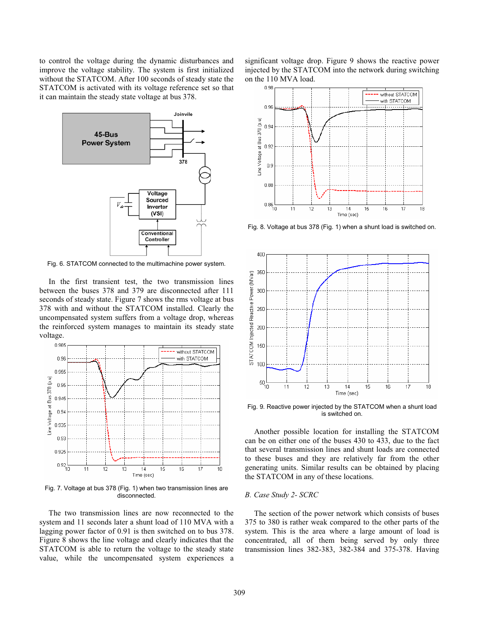to control the voltage during the dynamic disturbances and improve the voltage stability. The system is first initialized without the STATCOM. After 100 seconds of steady state the STATCOM is activated with its voltage reference set so that it can maintain the steady state voltage at bus 378.



Fig. 6. STATCOM connected to the multimachine power system.

In the first transient test, the two transmission lines between the buses 378 and 379 are disconnected after 111 seconds of steady state. Figure 7 shows the rms voltage at bus 378 with and without the STATCOM installed. Clearly the uncompensated system suffers from a voltage drop, whereas the reinforced system manages to maintain its steady state voltage.



Fig. 7. Voltage at bus 378 (Fig. 1) when two transmission lines are disconnected.

The two transmission lines are now reconnected to the system and 11 seconds later a shunt load of 110 MVA with a lagging power factor of 0.91 is then switched on to bus 378. Figure 8 shows the line voltage and clearly indicates that the STATCOM is able to return the voltage to the steady state value, while the uncompensated system experiences a

significant voltage drop. Figure 9 shows the reactive power injected by the STATCOM into the network during switching on the 110 MVA load.



Fig. 8. Voltage at bus 378 (Fig. 1) when a shunt load is switched on.



Fig. 9. Reactive power injected by the STATCOM when a shunt load is switched on.

Another possible location for installing the STATCOM can be on either one of the buses 430 to 433, due to the fact that several transmission lines and shunt loads are connected to these buses and they are relatively far from the other generating units. Similar results can be obtained by placing the STATCOM in any of these locations.

#### *B. Case Study 2- SCRC*

The section of the power network which consists of buses 375 to 380 is rather weak compared to the other parts of the system. This is the area where a large amount of load is concentrated, all of them being served by only three transmission lines 382-383, 382-384 and 375-378. Having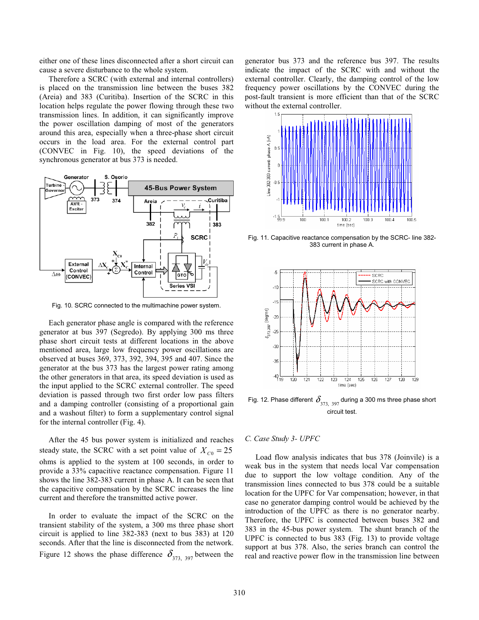either one of these lines disconnected after a short circuit can cause a severe disturbance to the whole system.

Therefore a SCRC (with external and internal controllers) is placed on the transmission line between the buses 382 (Areia) and 383 (Curitiba). Insertion of the SCRC in this location helps regulate the power flowing through these two transmission lines. In addition, it can significantly improve the power oscillation damping of most of the generators around this area, especially when a three-phase short circuit occurs in the load area. For the external control part (CONVEC in Fig. 10), the speed deviations of the synchronous generator at bus 373 is needed.



Fig. 10. SCRC connected to the multimachine power system.

Each generator phase angle is compared with the reference generator at bus 397 (Segredo). By applying 300 ms three phase short circuit tests at different locations in the above mentioned area, large low frequency power oscillations are observed at buses 369, 373, 392, 394, 395 and 407. Since the generator at the bus 373 has the largest power rating among the other generators in that area, its speed deviation is used as the input applied to the SCRC external controller. The speed deviation is passed through two first order low pass filters and a damping controller (consisting of a proportional gain and a washout filter) to form a supplementary control signal for the internal controller (Fig. 4).

After the 45 bus power system is initialized and reaches steady state, the SCRC with a set point value of  $X_{C0} = 25$ ohms is applied to the system at 100 seconds, in order to provide a 33% capacitive reactance compensation. Figure 11 shows the line 382-383 current in phase A. It can be seen that the capacitive compensation by the SCRC increases the line current and therefore the transmitted active power.

In order to evaluate the impact of the SCRC on the transient stability of the system, a 300 ms three phase short circuit is applied to line 382-383 (next to bus 383) at 120 seconds. After that the line is disconnected from the network. Figure 12 shows the phase difference  $\delta_{373, 397}$  between the generator bus 373 and the reference bus 397. The results indicate the impact of the SCRC with and without the external controller. Clearly, the damping control of the low frequency power oscillations by the CONVEC during the post-fault transient is more efficient than that of the SCRC without the external controller.



Fig. 11. Capacitive reactance compensation by the SCRC- line 382- 383 current in phase A.



Fig. 12. Phase different  $\delta_{\frac{373}{,}397}$  during a 300 ms three phase short circuit test.

#### *C. Case Study 3- UPFC*

Load flow analysis indicates that bus 378 (Joinvile) is a weak bus in the system that needs local Var compensation due to support the low voltage condition. Any of the transmission lines connected to bus 378 could be a suitable location for the UPFC for Var compensation; however, in that case no generator damping control would be achieved by the introduction of the UPFC as there is no generator nearby. Therefore, the UPFC is connected between buses 382 and 383 in the 45-bus power system. The shunt branch of the UPFC is connected to bus 383 (Fig. 13) to provide voltage support at bus 378. Also, the series branch can control the real and reactive power flow in the transmission line between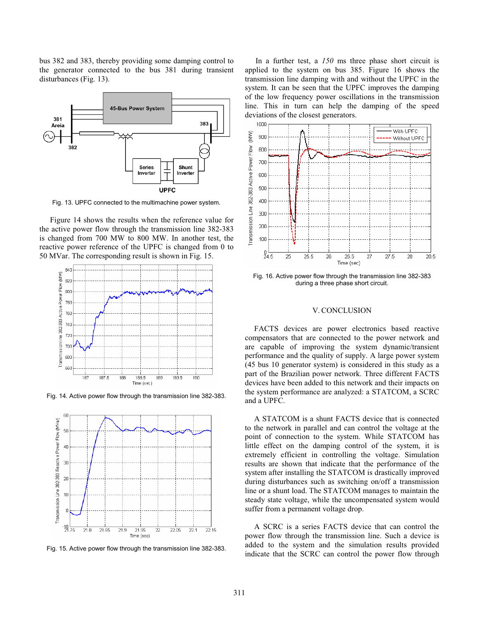bus 382 and 383, thereby providing some damping control to the generator connected to the bus 381 during transient disturbances (Fig. 13).



Fig. 13. UPFC connected to the multimachine power system.

Figure 14 shows the results when the reference value for the active power flow through the transmission line 382-383 is changed from 700 MW to 800 MW. In another test, the reactive power reference of the UPFC is changed from 0 to 50 MVar. The corresponding result is shown in Fig. 15.



Fig. 14. Active power flow through the transmission line 382-383.



Fig. 15. Active power flow through the transmission line 382-383.

In a further test, a *150* ms three phase short circuit is applied to the system on bus 385. Figure 16 shows the transmission line damping with and without the UPFC in the system. It can be seen that the UPFC improves the damping of the low frequency power oscillations in the transmission line. This in turn can help the damping of the speed deviations of the closest generators.



Fig. 16. Active power flow through the transmission line 382-383 during a three phase short circuit.

#### V. CONCLUSION

FACTS devices are power electronics based reactive compensators that are connected to the power network and are capable of improving the system dynamic/transient performance and the quality of supply. A large power system (45 bus 10 generator system) is considered in this study as a part of the Brazilian power network. Three different FACTS devices have been added to this network and their impacts on the system performance are analyzed: a STATCOM, a SCRC and a UPFC.

A STATCOM is a shunt FACTS device that is connected to the network in parallel and can control the voltage at the point of connection to the system. While STATCOM has little effect on the damping control of the system, it is extremely efficient in controlling the voltage. Simulation results are shown that indicate that the performance of the system after installing the STATCOM is drastically improved during disturbances such as switching on/off a transmission line or a shunt load. The STATCOM manages to maintain the steady state voltage, while the uncompensated system would suffer from a permanent voltage drop.

A SCRC is a series FACTS device that can control the power flow through the transmission line. Such a device is added to the system and the simulation results provided indicate that the SCRC can control the power flow through